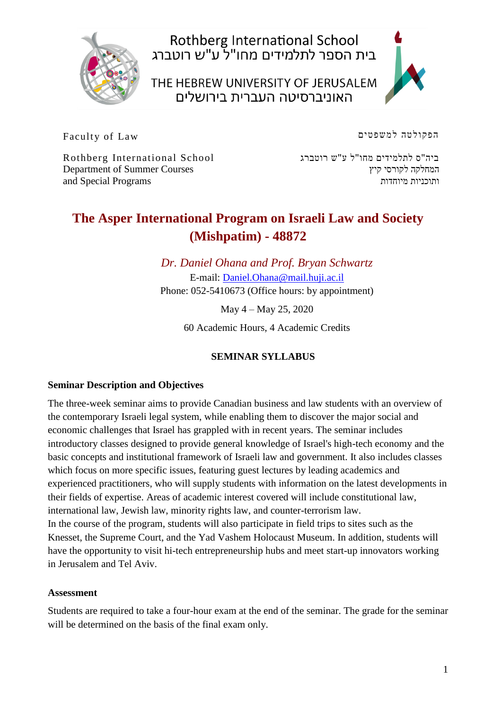

Rothberg International School<br>בית הספר לתלמידים מחו"ל ע"ש רוטברג

THE HEBREW UNIVERSITY OF JERUSALEM האוניברסיטה העברית בירושלים



Faculty of Law

הפקולטה למשפטים

Rothberg International School Department of Summer Courses and Special Programs

ביה"ס לתלמידים מחו"ל ע"ש רוטברג המחלקה לקורסי קיץ ותוכניות מיוחדות

# **The Asper International Program on Israeli Law and Society (Mishpatim) - 48872**

*Dr. Daniel Ohana and Prof. Bryan Schwartz* E-mail: [Daniel.Ohana@mail.huji.ac.il](mailto:Daniel.Ohana@mail.huji.ac.il) Phone: 052-5410673 (Office hours: by appointment)

May 4 – May 25, 2020

60 Academic Hours, 4 Academic Credits

# **SEMINAR SYLLABUS**

#### **Seminar Description and Objectives**

The three-week seminar aims to provide Canadian business and law students with an overview of the contemporary Israeli legal system, while enabling them to discover the major social and economic challenges that Israel has grappled with in recent years. The seminar includes introductory classes designed to provide general knowledge of Israel's high-tech economy and the basic concepts and institutional framework of Israeli law and government. It also includes classes which focus on more specific issues, featuring guest lectures by leading academics and experienced practitioners, who will supply students with information on the latest developments in their fields of expertise. Areas of academic interest covered will include constitutional law, international law, Jewish law, minority rights law, and counter-terrorism law. In the course of the program, students will also participate in field trips to sites such as the Knesset, the Supreme Court, and the Yad Vashem Holocaust Museum. In addition, students will have the opportunity to visit hi-tech entrepreneurship hubs and meet start-up innovators working in Jerusalem and Tel Aviv.

#### **Assessment**

Students are required to take a four-hour exam at the end of the seminar. The grade for the seminar will be determined on the basis of the final exam only.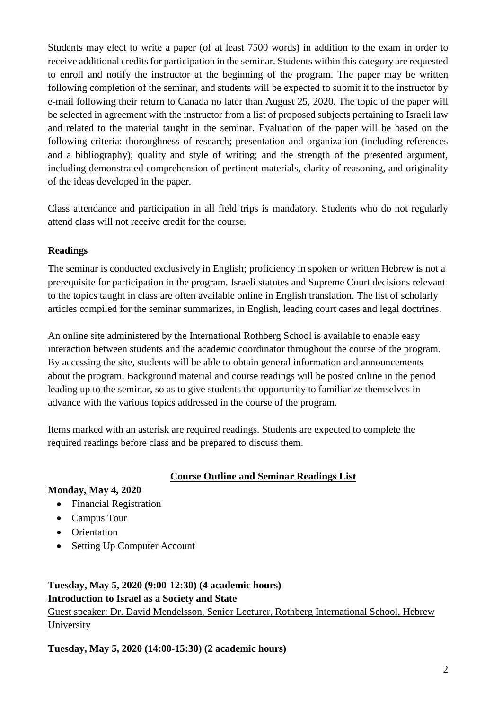Students may elect to write a paper (of at least 7500 words) in addition to the exam in order to receive additional credits for participation in the seminar. Students within this category are requested to enroll and notify the instructor at the beginning of the program. The paper may be written following completion of the seminar, and students will be expected to submit it to the instructor by e-mail following their return to Canada no later than August 25, 2020. The topic of the paper will be selected in agreement with the instructor from a list of proposed subjects pertaining to Israeli law and related to the material taught in the seminar. Evaluation of the paper will be based on the following criteria: thoroughness of research; presentation and organization (including references and a bibliography); quality and style of writing; and the strength of the presented argument, including demonstrated comprehension of pertinent materials, clarity of reasoning, and originality of the ideas developed in the paper.

Class attendance and participation in all field trips is mandatory. Students who do not regularly attend class will not receive credit for the course.

#### **Readings**

The seminar is conducted exclusively in English; proficiency in spoken or written Hebrew is not a prerequisite for participation in the program. Israeli statutes and Supreme Court decisions relevant to the topics taught in class are often available online in English translation. The list of scholarly articles compiled for the seminar summarizes, in English, leading court cases and legal doctrines.

An online site administered by the International Rothberg School is available to enable easy interaction between students and the academic coordinator throughout the course of the program. By accessing the site, students will be able to obtain general information and announcements about the program. Background material and course readings will be posted online in the period leading up to the seminar, so as to give students the opportunity to familiarize themselves in advance with the various topics addressed in the course of the program.

Items marked with an asterisk are required readings. Students are expected to complete the required readings before class and be prepared to discuss them.

#### **Course Outline and Seminar Readings List**

#### **Monday, May 4, 2020**

- Financial Registration
- Campus Tour
- Orientation
- Setting Up Computer Account

# **Tuesday, May 5, 2020 (9:00-12:30) (4 academic hours) Introduction to Israel as a Society and State**

Guest speaker: Dr. David Mendelsson, Senior Lecturer, Rothberg International School, Hebrew University

**Tuesday, May 5, 2020 (14:00-15:30) (2 academic hours)**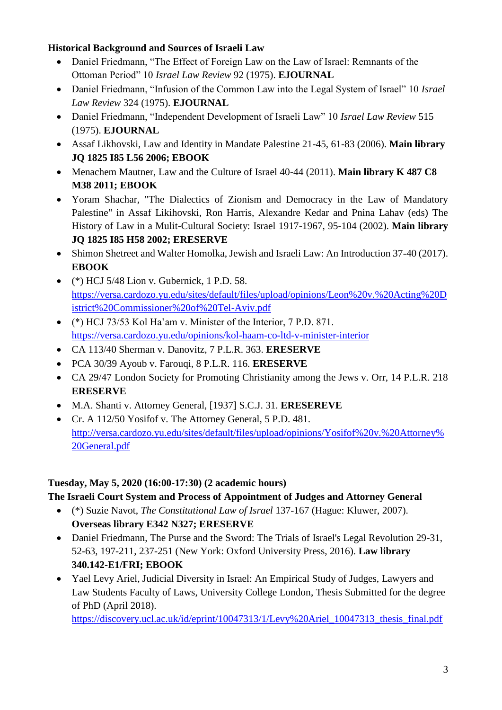#### **Historical Background and Sources of Israeli Law**

- Daniel Friedmann, "The Effect of Foreign Law on the Law of Israel: Remnants of the Ottoman Period" 10 *Israel Law Review* 92 (1975). **EJOURNAL**
- Daniel Friedmann, "Infusion of the Common Law into the Legal System of Israel" 10 *Israel Law Review* 324 (1975). **EJOURNAL**
- Daniel Friedmann, "Independent Development of Israeli Law" 10 *Israel Law Review* 515 (1975). **EJOURNAL**
- Assaf Likhovski, Law and Identity in Mandate Palestine 21-45, 61-83 (2006). **Main library JQ 1825 I85 L56 2006; EBOOK**
- Menachem Mautner, Law and the Culture of Israel 40-44 (2011). **Main library K 487 C8 M38 2011; EBOOK**
- Yoram Shachar, "The Dialectics of Zionism and Democracy in the Law of Mandatory Palestine" in Assaf Likihovski, Ron Harris, Alexandre Kedar and Pnina Lahav (eds) The History of Law in a Mulit-Cultural Society: Israel 1917-1967, 95-104 (2002). **Main library JQ 1825 I85 H58 2002; ERESERVE**
- Shimon Shetreet and Walter Homolka, Jewish and Israeli Law: An Introduction 37-40 (2017). **EBOOK**
- $\bullet$  (\*) HCJ 5/48 Lion v. Gubernick, 1 P.D. 58. [https://versa.cardozo.yu.edu/sites/default/files/upload/opinions/Leon%20v.%20Acting%20D](https://versa.cardozo.yu.edu/sites/default/files/upload/opinions/Leon%20v.%20Acting%20District%20Commissioner%20of%20Tel-Aviv.pdf) [istrict%20Commissioner%20of%20Tel-Aviv.pdf](https://versa.cardozo.yu.edu/sites/default/files/upload/opinions/Leon%20v.%20Acting%20District%20Commissioner%20of%20Tel-Aviv.pdf)
- (\*) HCJ 73/53 Kol Ha'am v. Minister of the Interior, 7 P.D. 871. <https://versa.cardozo.yu.edu/opinions/kol-haam-co-ltd-v-minister-interior>
- CA 113/40 Sherman v. Danovitz, 7 P.L.R. 363. **ERESERVE**
- PCA 30/39 Ayoub v. Farouqi, 8 P.L.R. 116. **ERESERVE**
- CA 29/47 London Society for Promoting Christianity among the Jews v. Orr, 14 P.L.R. 218 **ERESERVE**
- M.A. Shanti v. Attorney General, [1937] S.C.J. 31. **ERESEREVE**
- Cr. A 112/50 Yosifof v. The Attorney General, 5 P.D. 481. [http://versa.cardozo.yu.edu/sites/default/files/upload/opinions/Yosifof%20v.%20Attorney%](http://versa.cardozo.yu.edu/sites/default/files/upload/opinions/Yosifof%20v.%20Attorney%20General.pdf) [20General.pdf](http://versa.cardozo.yu.edu/sites/default/files/upload/opinions/Yosifof%20v.%20Attorney%20General.pdf)

# **Tuesday, May 5, 2020 (16:00-17:30) (2 academic hours)**

# **The Israeli Court System and Process of Appointment of Judges and Attorney General**

- (\*) Suzie Navot, *The Constitutional Law of Israel* 137-167 (Hague: Kluwer, 2007). **Overseas library E342 N327; ERESERVE**
- Daniel Friedmann, The Purse and the Sword: The Trials of Israel's Legal Revolution 29-31, 52-63, 197-211, 237-251 (New York: Oxford University Press, 2016). **Law library 340.142-E1/FRI; EBOOK**
- Yael Levy Ariel, Judicial Diversity in Israel: An Empirical Study of Judges, Lawyers and Law Students Faculty of Laws, University College London, Thesis Submitted for the degree of PhD (April 2018).

[https://discovery.ucl.ac.uk/id/eprint/10047313/1/Levy%20Ariel\\_10047313\\_thesis\\_final.pdf](https://discovery.ucl.ac.uk/id/eprint/10047313/1/Levy%20Ariel_10047313_thesis_final.pdf)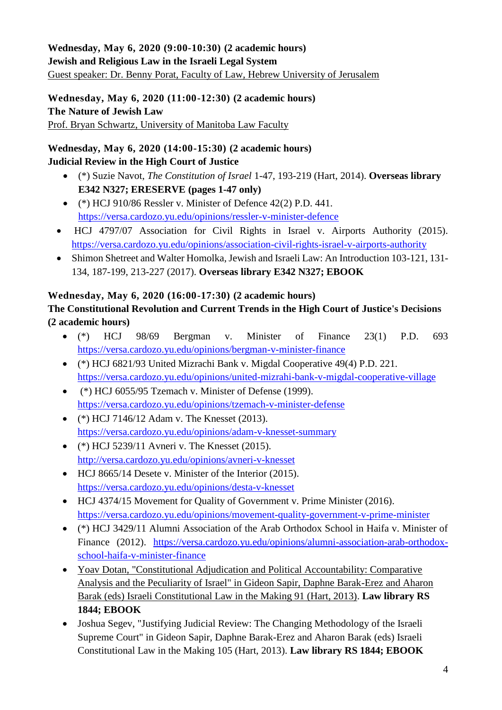## **Wednesday, May 6, 2020 (9:00-10:30) (2 academic hours) Jewish and Religious Law in the Israeli Legal System**  Guest speaker: Dr. Benny Porat, Faculty of Law, Hebrew University of Jerusalem

**Wednesday, May 6, 2020 (11:00-12:30) (2 academic hours) The Nature of Jewish Law** Prof. Bryan Schwartz, University of Manitoba Law Faculty

## **Wednesday, May 6, 2020 (14:00-15:30) (2 academic hours) Judicial Review in the High Court of Justice**

- (\*) Suzie Navot, *The Constitution of Israel* 1-47, 193-219 (Hart, 2014). **Overseas library E342 N327; ERESERVE (pages 1-47 only)**
- $\bullet$  (\*) HCJ 910/86 Ressler v. Minister of Defence 42(2) P.D. 441. <https://versa.cardozo.yu.edu/opinions/ressler-v-minister-defence>
- HCJ 4797/07 Association for Civil Rights in Israel v. Airports Authority (2015). <https://versa.cardozo.yu.edu/opinions/association-civil-rights-israel-v-airports-authority>
- Shimon Shetreet and Walter Homolka, Jewish and Israeli Law: An Introduction 103-121, 131- 134, 187-199, 213-227 (2017). **Overseas library E342 N327; EBOOK**

# **Wednesday, May 6, 2020 (16:00-17:30) (2 academic hours)**

# **The Constitutional Revolution and Current Trends in the High Court of Justice's Decisions (2 academic hours)**

- $(*)$  HCJ 98/69 Bergman v. Minister of Finance 23(1) P.D. 693 <https://versa.cardozo.yu.edu/opinions/bergman-v-minister-finance>
- (\*) HCJ 6821/93 United Mizrachi Bank v. Migdal Cooperative 49(4) P.D. 221. <https://versa.cardozo.yu.edu/opinions/united-mizrahi-bank-v-migdal-cooperative-village>
- $\bullet$  (\*) HCJ 6055/95 Tzemach v. Minister of Defense (1999). <https://versa.cardozo.yu.edu/opinions/tzemach-v-minister-defense>
- $(*)$  HCJ 7146/12 Adam v. The Knesset (2013). <https://versa.cardozo.yu.edu/opinions/adam-v-knesset-summary>
- (\*) HCJ 5239/11 Avneri v. The Knesset (2015). <http://versa.cardozo.yu.edu/opinions/avneri-v-knesset>
- HCJ 8665/14 Desete v. Minister of the Interior (2015). <https://versa.cardozo.yu.edu/opinions/desta-v-knesset>
- HCJ 4374/15 Movement for Quality of Government v. Prime Minister (2016). <https://versa.cardozo.yu.edu/opinions/movement-quality-government-v-prime-minister>
- (\*) HCJ 3429/11 Alumni Association of the Arab Orthodox School in Haifa v. Minister of Finance (2012). [https://versa.cardozo.yu.edu/opinions/alumni-association-arab-orthodox](https://versa.cardozo.yu.edu/opinions/alumni-association-arab-orthodox-school-haifa-v-minister-finance)[school-haifa-v-minister-finance](https://versa.cardozo.yu.edu/opinions/alumni-association-arab-orthodox-school-haifa-v-minister-finance)
- [Yoav Dotan, "Constitutional Adjudication and Political Accountability: Comparative](http://moodle.huji.ac.il/hu13/mod/resource/view.php?id=183014)  [Analysis and the Peculiarity of Israel" in Gideon Sapir, Daphne Barak-Erez and Aharon](http://moodle.huji.ac.il/hu13/mod/resource/view.php?id=183014)  [Barak \(eds\) Israeli Constitutional Law in the Making 91 \(Hart, 2013\).](http://moodle.huji.ac.il/hu13/mod/resource/view.php?id=183014) **Law library RS 1844; EBOOK**
- Joshua Segev, "Justifying Judicial Review: The Changing Methodology of the Israeli Supreme Court" in Gideon Sapir, Daphne Barak-Erez and Aharon Barak (eds) Israeli Constitutional Law in the Making 105 (Hart, 2013). **Law library RS 1844; EBOOK**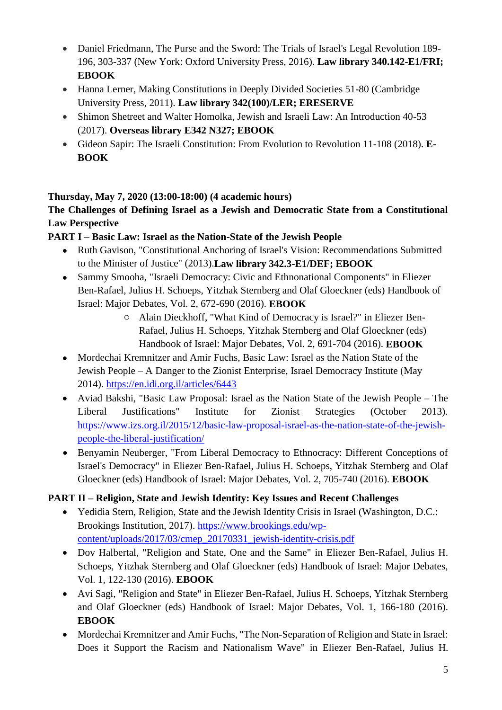- Daniel Friedmann, The Purse and the Sword: The Trials of Israel's Legal Revolution 189-196, 303-337 (New York: Oxford University Press, 2016). **Law library 340.142-E1/FRI; EBOOK**
- Hanna Lerner, Making Constitutions in Deeply Divided Societies 51-80 (Cambridge) University Press, 2011). **Law library 342(100)/LER; ERESERVE**
- Shimon Shetreet and Walter Homolka, Jewish and Israeli Law: An Introduction 40-53 (2017). **Overseas library E342 N327; EBOOK**
- Gideon Sapir: The Israeli Constitution: From Evolution to Revolution 11-108 (2018). **E-BOOK**

# **Thursday, May 7, 2020 (13:00-18:00) (4 academic hours)**

## **The Challenges of Defining Israel as a Jewish and Democratic State from a Constitutional Law Perspective**

# **PART I – Basic Law: Israel as the Nation-State of the Jewish People**

- Ruth Gavison, "Constitutional Anchoring of Israel's Vision: Recommendations Submitted to the Minister of Justice" (2013).**Law library 342.3-E1/DEF; EBOOK**
- Sammy Smooha, "Israeli Democracy: Civic and Ethnonational Components" in Eliezer Ben-Rafael, Julius H. Schoeps, Yitzhak Sternberg and Olaf Gloeckner (eds) Handbook of Israel: Major Debates, Vol. 2, 672-690 (2016). **EBOOK**
	- o Alain Dieckhoff, "What Kind of Democracy is Israel?" in Eliezer Ben-Rafael, Julius H. Schoeps, Yitzhak Sternberg and Olaf Gloeckner (eds) Handbook of Israel: Major Debates, Vol. 2, 691-704 (2016). **EBOOK**
- Mordechai Kremnitzer and Amir Fuchs, Basic Law: Israel as the Nation State of the Jewish People – A Danger to the Zionist Enterprise, Israel Democracy Institute (May 2014).<https://en.idi.org.il/articles/6443>
- Aviad Bakshi, "Basic Law Proposal: Israel as the Nation State of the Jewish People The Liberal Justifications" Institute for Zionist Strategies (October 2013). [https://www.izs.org.il/2015/12/basic-law-proposal-israel-as-the-nation-state-of-the-jewish](https://www.izs.org.il/2015/12/basic-law-proposal-israel-as-the-nation-state-of-the-jewish-people-the-liberal-justification/)[people-the-liberal-justification/](https://www.izs.org.il/2015/12/basic-law-proposal-israel-as-the-nation-state-of-the-jewish-people-the-liberal-justification/)
- Benyamin Neuberger, "From Liberal Democracy to Ethnocracy: Different Conceptions of Israel's Democracy" in Eliezer Ben-Rafael, Julius H. Schoeps, Yitzhak Sternberg and Olaf Gloeckner (eds) Handbook of Israel: Major Debates, Vol. 2, 705-740 (2016). **EBOOK**

# **PART II – Religion, State and Jewish Identity: Key Issues and Recent Challenges**

- Yedidia Stern, Religion, State and the Jewish Identity Crisis in Israel (Washington, D.C.: Brookings Institution, 2017). [https://www.brookings.edu/wp](https://www.brookings.edu/wp-content/uploads/2017/03/cmep_20170331_jewish-identity-crisis.pdf)[content/uploads/2017/03/cmep\\_20170331\\_jewish-identity-crisis.pdf](https://www.brookings.edu/wp-content/uploads/2017/03/cmep_20170331_jewish-identity-crisis.pdf)
- Dov Halbertal, "Religion and State, One and the Same" in Eliezer Ben-Rafael, Julius H. Schoeps, Yitzhak Sternberg and Olaf Gloeckner (eds) Handbook of Israel: Major Debates, Vol. 1, 122-130 (2016). **EBOOK**
- Avi Sagi, "Religion and State" in Eliezer Ben-Rafael, Julius H. Schoeps, Yitzhak Sternberg and Olaf Gloeckner (eds) Handbook of Israel: Major Debates, Vol. 1, 166-180 (2016). **EBOOK**
- Mordechai Kremnitzer and Amir Fuchs, "The Non-Separation of Religion and State in Israel: Does it Support the Racism and Nationalism Wave" in Eliezer Ben-Rafael, Julius H.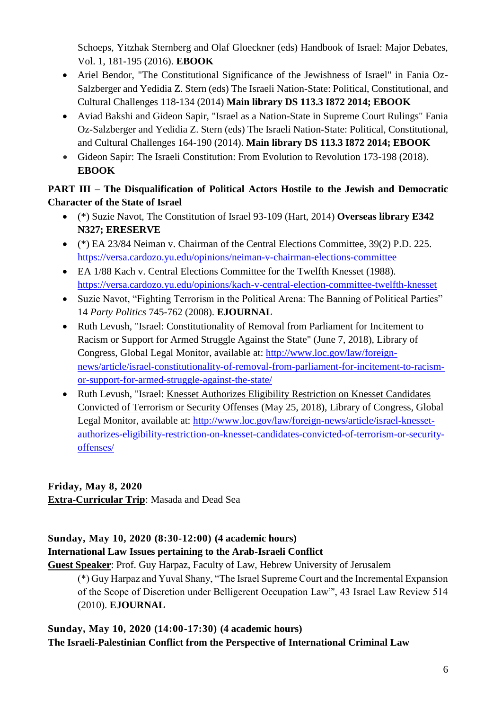Schoeps, Yitzhak Sternberg and Olaf Gloeckner (eds) Handbook of Israel: Major Debates, Vol. 1, 181-195 (2016). **EBOOK**

- Ariel Bendor, "The Constitutional Significance of the Jewishness of Israel" in Fania Oz-Salzberger and Yedidia Z. Stern (eds) The Israeli Nation-State: Political, Constitutional, and Cultural Challenges 118-134 (2014) **Main library DS 113.3 I872 2014; EBOOK**
- Aviad Bakshi and Gideon Sapir, "Israel as a Nation-State in Supreme Court Rulings" Fania Oz-Salzberger and Yedidia Z. Stern (eds) The Israeli Nation-State: Political, Constitutional, and Cultural Challenges 164-190 (2014). **Main library DS 113.3 I872 2014; EBOOK**
- Gideon Sapir: The Israeli Constitution: From Evolution to Revolution 173-198 (2018). **EBOOK**

# **PART III – The Disqualification of Political Actors Hostile to the Jewish and Democratic Character of the State of Israel**

- (\*) Suzie Navot, The Constitution of Israel 93-109 (Hart, 2014) **Overseas library E342 N327; ERESERVE**
- (\*) EA 23/84 Neiman v. Chairman of the Central Elections Committee, 39(2) P.D. 225. <https://versa.cardozo.yu.edu/opinions/neiman-v-chairman-elections-committee>
- EA 1/88 Kach v. Central Elections Committee for the Twelfth Knesset (1988). <https://versa.cardozo.yu.edu/opinions/kach-v-central-election-committee-twelfth-knesset>
- Suzie Navot, "Fighting Terrorism in the Political Arena: The Banning of Political Parties" 14 *Party Politics* 745-762 (2008). **EJOURNAL**
- Ruth Levush, "Israel: Constitutionality of Removal from Parliament for Incitement to Racism or Support for Armed Struggle Against the State" (June 7, 2018), Library of Congress, Global Legal Monitor, available at: [http://www.loc.gov/law/foreign](http://www.loc.gov/law/foreign-news/article/israel-constitutionality-of-removal-from-parliament-for-incitement-to-racism-or-support-for-armed-struggle-against-the-state/)[news/article/israel-constitutionality-of-removal-from-parliament-for-incitement-to-racism](http://www.loc.gov/law/foreign-news/article/israel-constitutionality-of-removal-from-parliament-for-incitement-to-racism-or-support-for-armed-struggle-against-the-state/)[or-support-for-armed-struggle-against-the-state/](http://www.loc.gov/law/foreign-news/article/israel-constitutionality-of-removal-from-parliament-for-incitement-to-racism-or-support-for-armed-struggle-against-the-state/)
- Ruth Levush, "Israel: Knesset Authorizes Eligibility Restriction on Knesset [Candidates](http://www.loc.gov/law/foreign-news/article/israel-knesset-authorizes-eligibility-restriction-on-knesset-candidates-convicted-of-terrorism-or-security-offenses/) [Convicted](http://www.loc.gov/law/foreign-news/article/israel-knesset-authorizes-eligibility-restriction-on-knesset-candidates-convicted-of-terrorism-or-security-offenses/) of Terrorism or Security Offenses (May 25, 2018), Library of Congress, Global Legal Monitor, available at: [http://www.loc.gov/law/foreign-news/article/israel-knesset](http://www.loc.gov/law/foreign-news/article/israel-knesset-authorizes-eligibility-restriction-on-knesset-candidates-convicted-of-terrorism-or-security-offenses/)[authorizes-eligibility-restriction-on-knesset-candidates-convicted-of-terrorism-or-security](http://www.loc.gov/law/foreign-news/article/israel-knesset-authorizes-eligibility-restriction-on-knesset-candidates-convicted-of-terrorism-or-security-offenses/)[offenses/](http://www.loc.gov/law/foreign-news/article/israel-knesset-authorizes-eligibility-restriction-on-knesset-candidates-convicted-of-terrorism-or-security-offenses/)

## **Friday, May 8, 2020 Extra-Curricular Trip**: Masada and Dead Sea

# **Sunday, May 10, 2020 (8:30-12:00) (4 academic hours)**

# **International Law Issues pertaining to the Arab-Israeli Conflict**

**Guest Speaker**: Prof. Guy Harpaz, Faculty of Law, Hebrew University of Jerusalem

(\*) Guy Harpaz and Yuval Shany, "The Israel Supreme Court and the Incremental Expansion of the Scope of Discretion under Belligerent Occupation Law"', 43 Israel Law Review 514 (2010). **EJOURNAL**

## **Sunday, May 10, 2020 (14:00-17:30) (4 academic hours) The Israeli-Palestinian Conflict from the Perspective of International Criminal Law**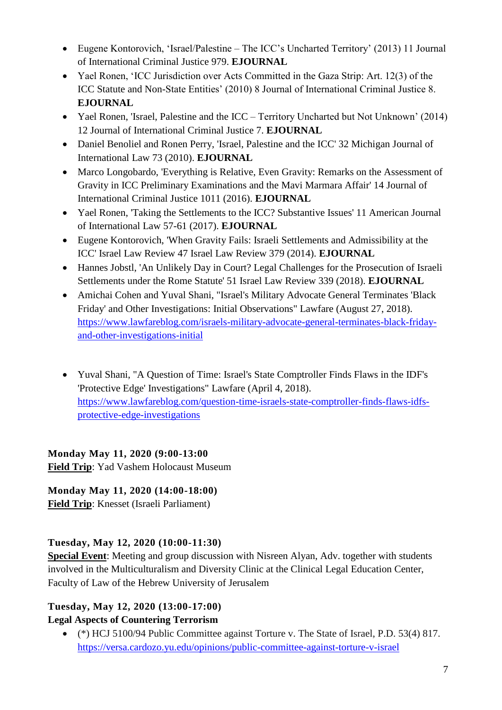- Eugene Kontorovich, 'Israel/Palestine The ICC's Uncharted Territory' (2013) 11 Journal of International Criminal Justice 979. **EJOURNAL**
- Yael Ronen, 'ICC Jurisdiction over Acts Committed in the Gaza Strip: Art. 12(3) of the ICC Statute and Non-State Entities' (2010) 8 Journal of International Criminal Justice 8. **EJOURNAL**
- Yael Ronen, 'Israel, Palestine and the ICC Territory Uncharted but Not Unknown' (2014) 12 Journal of International Criminal Justice 7. **EJOURNAL**
- Daniel Benoliel and Ronen Perry, 'Israel, Palestine and the ICC' 32 Michigan Journal of International Law 73 (2010). **EJOURNAL**
- Marco Longobardo, 'Everything is Relative, Even Gravity: Remarks on the Assessment of Gravity in ICC Preliminary Examinations and the Mavi Marmara Affair' 14 Journal of International Criminal Justice 1011 (2016). **EJOURNAL**
- Yael Ronen, 'Taking the Settlements to the ICC? Substantive Issues' 11 American Journal of International Law 57-61 (2017). **EJOURNAL**
- Eugene Kontorovich, 'When Gravity Fails: Israeli Settlements and Admissibility at the ICC' Israel Law Review 47 Israel Law Review 379 (2014). **EJOURNAL**
- Hannes Jobstl, 'An Unlikely Day in Court? Legal Challenges for the Prosecution of Israeli Settlements under the Rome Statute' 51 Israel Law Review 339 (2018). **EJOURNAL**
- Amichai Cohen and Yuval Shani, "Israel's Military Advocate General Terminates 'Black Friday' and Other Investigations: Initial Observations" Lawfare (August 27, 2018). [https://www.lawfareblog.com/israels-military-advocate-general-terminates-black-friday](https://www.lawfareblog.com/israels-military-advocate-general-terminates-black-friday-and-other-investigations-initial)[and-other-investigations-initial](https://www.lawfareblog.com/israels-military-advocate-general-terminates-black-friday-and-other-investigations-initial)
- Yuval Shani, "A Question of Time: Israel's State Comptroller Finds Flaws in the IDF's 'Protective Edge' Investigations" Lawfare (April 4, 2018). [https://www.lawfareblog.com/question-time-israels-state-comptroller-finds-flaws-idfs](https://www.lawfareblog.com/question-time-israels-state-comptroller-finds-flaws-idfs-protective-edge-investigations)[protective-edge-investigations](https://www.lawfareblog.com/question-time-israels-state-comptroller-finds-flaws-idfs-protective-edge-investigations)

# **Monday May 11, 2020 (9:00-13:00**

**Field Trip**: Yad Vashem Holocaust Museum

# **Monday May 11, 2020 (14:00-18:00)**

**Field Trip**: Knesset (Israeli Parliament)

# **Tuesday, May 12, 2020 (10:00-11:30)**

**Special Event**: Meeting and group discussion with Nisreen Alyan, Adv. together with students involved in the Multiculturalism and Diversity Clinic at the Clinical Legal Education Center, Faculty of Law of the Hebrew University of Jerusalem

#### **Tuesday, May 12, 2020 (13:00-17:00) Legal Aspects of Countering Terrorism**

 (\*) HCJ 5100/94 Public Committee against Torture v. The State of Israel, P.D. 53(4) 817. <https://versa.cardozo.yu.edu/opinions/public-committee-against-torture-v-israel>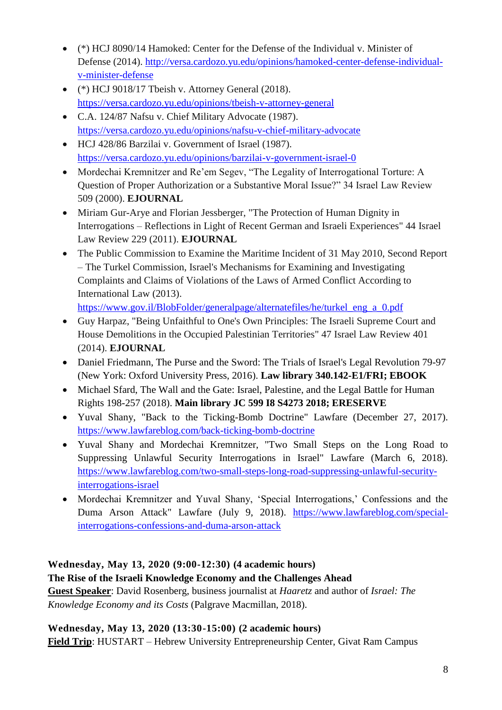- (\*) HCJ 8090/14 Hamoked: Center for the Defense of the Individual v. Minister of Defense (2014). [http://versa.cardozo.yu.edu/opinions/hamoked-center-defense-individual](http://versa.cardozo.yu.edu/opinions/hamoked-center-defense-individual-v-minister-defense)[v-minister-defense](http://versa.cardozo.yu.edu/opinions/hamoked-center-defense-individual-v-minister-defense)
- $\bullet$  (\*) HCJ 9018/17 Tbeish v. Attorney General (2018). <https://versa.cardozo.yu.edu/opinions/tbeish-v-attorney-general>
- C.A. 124/87 Nafsu v. Chief Military Advocate (1987). <https://versa.cardozo.yu.edu/opinions/nafsu-v-chief-military-advocate>
- HCJ 428/86 Barzilai v. Government of Israel (1987). <https://versa.cardozo.yu.edu/opinions/barzilai-v-government-israel-0>
- Mordechai Kremnitzer and Re'em Segev, "The Legality of Interrogational Torture: A Question of Proper Authorization or a Substantive Moral Issue?" 34 Israel Law Review 509 (2000). **EJOURNAL**
- Miriam Gur-Arye and Florian Jessberger, "The Protection of Human Dignity in Interrogations – Reflections in Light of Recent German and Israeli Experiences" 44 Israel Law Review 229 (2011). **EJOURNAL**
- The Public Commission to Examine the Maritime Incident of 31 May 2010, Second Report – The Turkel Commission, Israel's Mechanisms for Examining and Investigating Complaints and Claims of Violations of the Laws of Armed Conflict According to International Law (2013).

[https://www.gov.il/BlobFolder/generalpage/alternatefiles/he/turkel\\_eng\\_a\\_0.pdf](https://www.gov.il/BlobFolder/generalpage/alternatefiles/he/turkel_eng_a_0.pdf)

- Guy Harpaz, "Being Unfaithful to One's Own Principles: The Israeli Supreme Court and House Demolitions in the Occupied Palestinian Territories" 47 Israel Law Review 401 (2014). **EJOURNAL**
- Daniel Friedmann, The Purse and the Sword: The Trials of Israel's Legal Revolution 79-97 (New York: Oxford University Press, 2016). **Law library 340.142-E1/FRI; EBOOK**
- Michael Sfard, The Wall and the Gate: Israel, Palestine, and the Legal Battle for Human Rights 198-257 (2018). **Main library JC 599 I8 S4273 2018; ERESERVE**
- Yuval Shany, "Back to the Ticking-Bomb Doctrine" Lawfare (December 27, 2017). <https://www.lawfareblog.com/back-ticking-bomb-doctrine>
- Yuval Shany and Mordechai Kremnitzer, "Two Small Steps on the Long Road to Suppressing Unlawful Security Interrogations in Israel" Lawfare (March 6, 2018). [https://www.lawfareblog.com/two-small-steps-long-road-suppressing-unlawful-security](https://www.lawfareblog.com/two-small-steps-long-road-suppressing-unlawful-security-interrogations-israel)[interrogations-israel](https://www.lawfareblog.com/two-small-steps-long-road-suppressing-unlawful-security-interrogations-israel)
- Mordechai Kremnitzer and Yuval Shany, 'Special Interrogations,' Confessions and the Duma Arson Attack" Lawfare (July 9, 2018). [https://www.lawfareblog.com/special](https://www.lawfareblog.com/special-interrogations-confessions-and-duma-arson-attack)[interrogations-confessions-and-duma-arson-attack](https://www.lawfareblog.com/special-interrogations-confessions-and-duma-arson-attack)

# **Wednesday, May 13, 2020 (9:00-12:30) (4 academic hours)**

**The Rise of the Israeli Knowledge Economy and the Challenges Ahead Guest Speaker**: David Rosenberg, business journalist at *Haaretz* and author of *Israel: The Knowledge Economy and its Costs* (Palgrave Macmillan, 2018).

# **Wednesday, May 13, 2020 (13:30-15:00) (2 academic hours)**

**Field Trip**: HUSTART – Hebrew University Entrepreneurship Center, Givat Ram Campus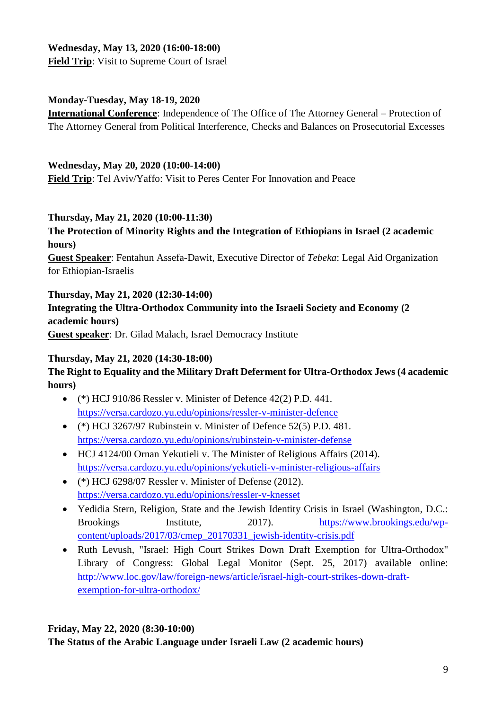#### **Wednesday, May 13, 2020 (16:00-18:00) Field Trip**: Visit to Supreme Court of Israel

#### **Monday-Tuesday, May 18-19, 2020**

**International Conference**: Independence of The Office of The Attorney General – Protection of The Attorney General from Political Interference, Checks and Balances on Prosecutorial Excesses

#### **Wednesday, May 20, 2020 (10:00-14:00)**

**Field Trip**: Tel Aviv/Yaffo: Visit to Peres Center For Innovation and Peace

#### **Thursday, May 21, 2020 (10:00-11:30)**

#### **The Protection of Minority Rights and the Integration of Ethiopians in Israel (2 academic hours)**

**Guest Speaker**: Fentahun Assefa-Dawit, Executive Director of *Tebeka*: Legal Aid Organization for Ethiopian-Israelis

#### **Thursday, May 21, 2020 (12:30-14:00)**

**Integrating the Ultra-Orthodox Community into the Israeli Society and Economy (2 academic hours) Guest speaker**: Dr. Gilad Malach, Israel Democracy Institute

#### **Thursday, May 21, 2020 (14:30-18:00)**

## **The Right to Equality and the Military Draft Deferment for Ultra-Orthodox Jews (4 academic hours)**

- $\bullet$  (\*) HCJ 910/86 Ressler v. Minister of Defence 42(2) P.D. 441. <https://versa.cardozo.yu.edu/opinions/ressler-v-minister-defence>
- (\*) HCJ 3267/97 Rubinstein v. Minister of Defence 52(5) P.D. 481. <https://versa.cardozo.yu.edu/opinions/rubinstein-v-minister-defense>
- HCJ 4124/00 Ornan Yekutieli v. The Minister of Religious Affairs (2014). <https://versa.cardozo.yu.edu/opinions/yekutieli-v-minister-religious-affairs>
- (\*) HCJ 6298/07 Ressler v. Minister of Defense (2012). <https://versa.cardozo.yu.edu/opinions/ressler-v-knesset>
- Yedidia Stern, Religion, State and the Jewish Identity Crisis in Israel (Washington, D.C.: Brookings Institute, 2017). [https://www.brookings.edu/wp](https://www.brookings.edu/wp-content/uploads/2017/03/cmep_20170331_jewish-identity-crisis.pdf)[content/uploads/2017/03/cmep\\_20170331\\_jewish-identity-crisis.pdf](https://www.brookings.edu/wp-content/uploads/2017/03/cmep_20170331_jewish-identity-crisis.pdf)
- Ruth Levush, "Israel: High Court Strikes Down Draft Exemption for Ultra-Orthodox" Library of Congress: Global Legal Monitor (Sept. 25, 2017) available online: [http://www.loc.gov/law/foreign-news/article/israel-high-court-strikes-down-draft](http://www.loc.gov/law/foreign-news/article/israel-high-court-strikes-down-draft-exemption-for-ultra-orthodox/)[exemption-for-ultra-orthodox/](http://www.loc.gov/law/foreign-news/article/israel-high-court-strikes-down-draft-exemption-for-ultra-orthodox/)

#### **Friday, May 22, 2020 (8:30-10:00)**

**The Status of the Arabic Language under Israeli Law (2 academic hours)**